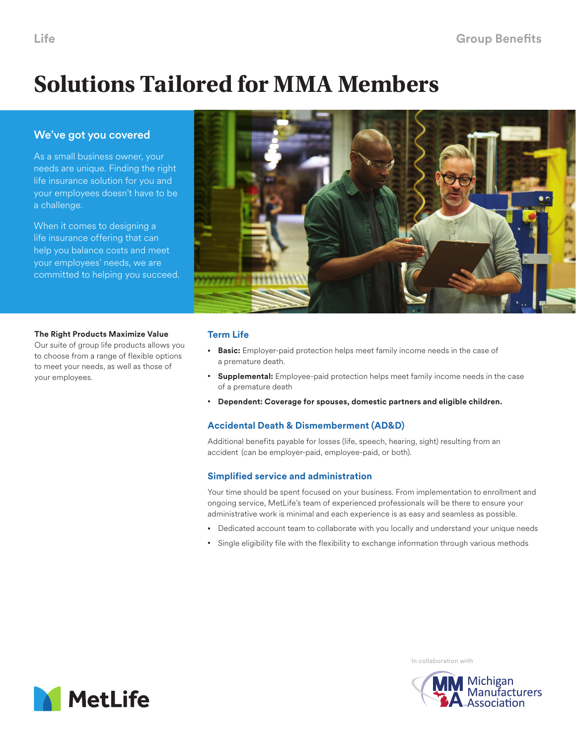# **Solutions Tailored for MMA Members**

# We've got you covered

As a small business owner, your needs are unique. Finding the right life insurance solution for you and your employees doesn't have to be a challenge.

When it comes to designing a life insurance offering that can help you balance costs and meet your employees' needs, we are committed to helping you succeed.





# **Term Life**

- **Basic:** Employer-paid protection helps meet family income needs in the case of a premature death.
- **Supplemental:** Employee-paid protection helps meet family income needs in the case of a premature death
- **Dependent: Coverage for spouses, domestic partners and eligible children.**

# **Accidental Death & Dismemberment (AD&D)**

Additional benefits payable for losses (life, speech, hearing, sight) resulting from an accident (can be employer-paid, employee-paid, or both).

# **Simplified service and administration**

Your time should be spent focused on your business. From implementation to enrollment and ongoing service, MetLife's team of experienced professionals will be there to ensure your administrative work is minimal and each experience is as easy and seamless as possible.

- Dedicated account team to collaborate with you locally and understand your unique needs
- Single eligibility file with the flexibility to exchange information through various methods



In collaboration with